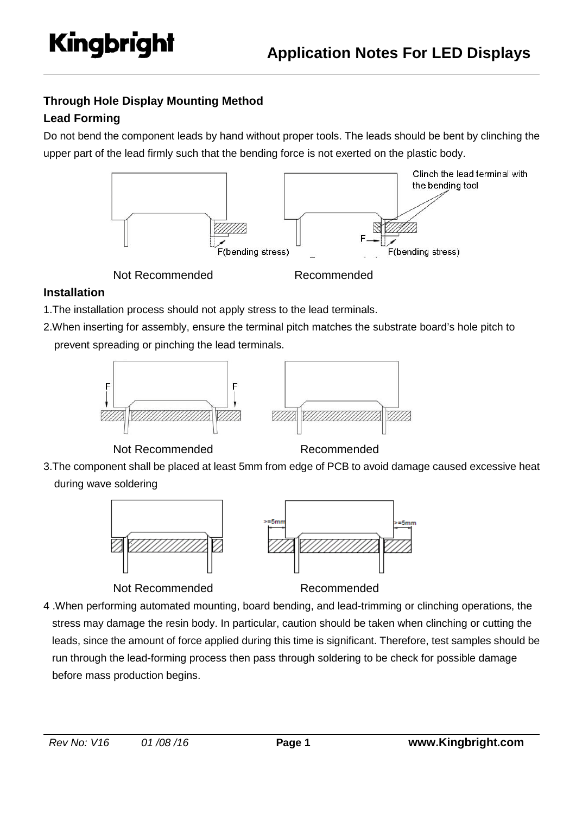# **Through Hole Display Mounting Method**

# **Lead Forming**

Do not bend the component leads by hand without proper tools. The leads should be bent by clinching the upper part of the lead firmly such that the bending force is not exerted on the plastic body.



Not Recommended Recommended

# **Installation**

- 1.The installation process should not apply stress to the lead terminals.
- 2.When inserting for assembly, ensure the terminal pitch matches the substrate board's hole pitch to prevent spreading or pinching the lead terminals.





Not Recommended Recommended

3.The component shall be placed at least 5mm from edge of PCB to avoid damage caused excessive heat during wave soldering



Not Recommended Recommended



4 .When performing automated mounting, board bending, and lead-trimming or clinching operations, the stress may damage the resin body. In particular, caution should be taken when clinching or cutting the leads, since the amount of force applied during this time is significant. Therefore, test samples should be run through the lead-forming process then pass through soldering to be check for possible damage before mass production begins.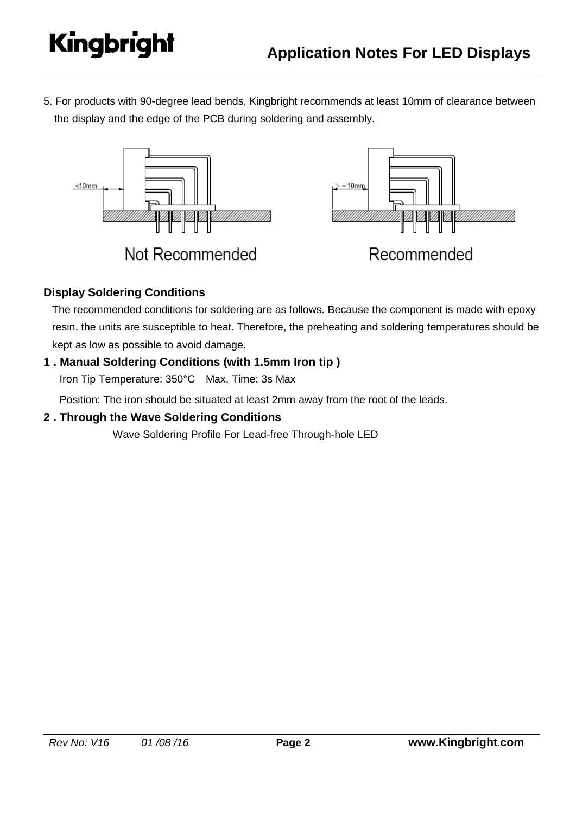5. For products with 90-degree lead bends, Kingbright recommends at least 10mm of clearance between the display and the edge of the PCB during soldering and assembly.



# **Display Soldering Conditions**

The recommended conditions for soldering are as follows. Because the component is made with epoxy resin, the units are susceptible to heat. Therefore, the preheating and soldering temperatures should be kept as low as possible to avoid damage.

# **1 . Manual Soldering Conditions (with 1.5mm Iron tip )**

Iron Tip Temperature: 350°C Max, Time: 3s Max

Position: The iron should be situated at least 2mm away from the root of the leads.

### **2 . Through the Wave Soldering Conditions**

Wave Soldering Profile For Lead-free Through-hole LED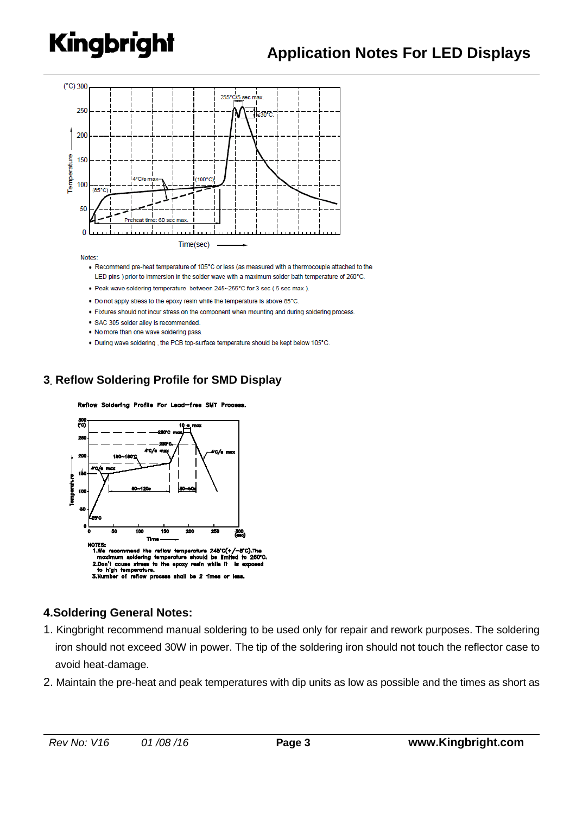

**Notes** 

- . Recommend pre-heat temperature of 105°C or less (as measured with a thermocouple attached to the LED pins ) prior to immersion in the solder wave with a maximum solder bath temperature of 260°C.
- . Peak wave soldering temperature between 245~255°C for 3 sec (5 sec max).
- . Do not apply stress to the epoxy resin while the temperature is above 85°C.
- . Fixtures should not incur stress on the component when mounting and during soldering process.
- · SAC 305 solder alloy is recommended
- . No more than one wave soldering pass
- . During wave soldering, the PCB top-surface temperature should be kept below 105°C.

### **3. Reflow Soldering Profile for SMD Display**

Reflow Soldering Profile For Lead-free SMT Process.



### **4.Soldering General Notes:**

- 1. Kingbright recommend manual soldering to be used only for repair and rework purposes. The soldering iron should not exceed 30W in power. The tip of the soldering iron should not touch the reflector case to avoid heat-damage.
- 2. Maintain the pre-heat and peak temperatures with dip units as low as possible and the times as short as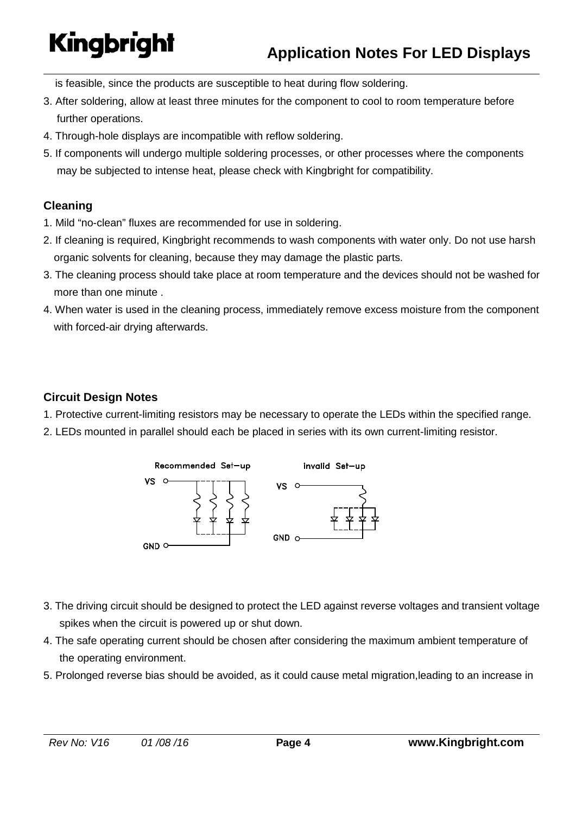is feasible, since the products are susceptible to heat during flow soldering.

- 3. After soldering, allow at least three minutes for the component to cool to room temperature before further operations.
- 4. Through-hole displays are incompatible with reflow soldering.
- 5. If components will undergo multiple soldering processes, or other processes where the components may be subjected to intense heat, please check with Kingbright for compatibility.

### **Cleaning**

- 1. Mild "no-clean" fluxes are recommended for use in soldering.
- 2. If cleaning is required, Kingbright recommends to wash components with water only. Do not use harsh organic solvents for cleaning, because they may damage the plastic parts.
- 3. The cleaning process should take place at room temperature and the devices should not be washed for more than one minute .
- 4. When water is used in the cleaning process, immediately remove excess moisture from the component with forced-air drying afterwards.

### **Circuit Design Notes**

- 1. Protective current-limiting resistors may be necessary to operate the LEDs within the specified range.
- 2. LEDs mounted in parallel should each be placed in series with its own current-limiting resistor.



- 3. The driving circuit should be designed to protect the LED against reverse voltages and transient voltage spikes when the circuit is powered up or shut down.
- 4. The safe operating current should be chosen after considering the maximum ambient temperature of the operating environment.
- 5. Prolonged reverse bias should be avoided, as it could cause metal migration,leading to an increase in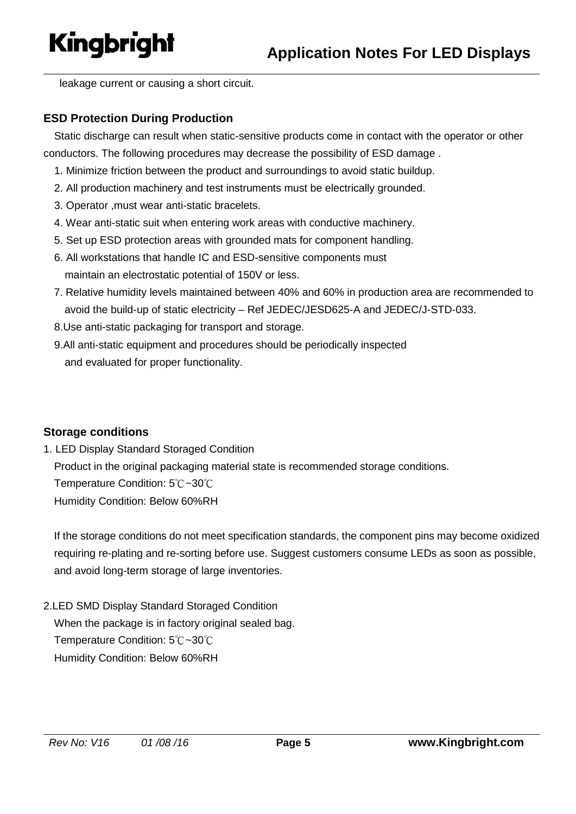leakage current or causing a short circuit.

### **ESD Protection During Production**

Static discharge can result when static-sensitive products come in contact with the operator or other conductors. The following procedures may decrease the possibility of ESD damage .

- 1. Minimize friction between the product and surroundings to avoid static buildup.
- 2. All production machinery and test instruments must be electrically grounded.
- 3. Operator ,must wear anti-static bracelets.
- 4. Wear anti-static suit when entering work areas with conductive machinery.
- 5. Set up ESD protection areas with grounded mats for component handling.
- 6. All workstations that handle IC and ESD-sensitive components must maintain an electrostatic potential of 150V or less.
- 7. Relative humidity levels maintained between 40% and 60% in production area are recommended to avoid the build-up of static electricity – Ref JEDEC/JESD625-A and JEDEC/J-STD-033.
- 8.Use anti-static packaging for transport and storage.
- 9.All anti-static equipment and procedures should be periodically inspected and evaluated for proper functionality.

### **Storage conditions**

1. LED Display Standard Storaged Condition

 Product in the original packaging material state is recommended storage conditions. Temperature Condition: 5℃~30℃

Humidity Condition: Below 60%RH

If the storage conditions do not meet specification standards, the component pins may become oxidized requiring re-plating and re-sorting before use. Suggest customers consume LEDs as soon as possible, and avoid long-term storage of large inventories.

2.LED SMD Display Standard Storaged Condition When the package is in factory original sealed bag. Temperature Condition: 5℃~30℃ Humidity Condition: Below 60%RH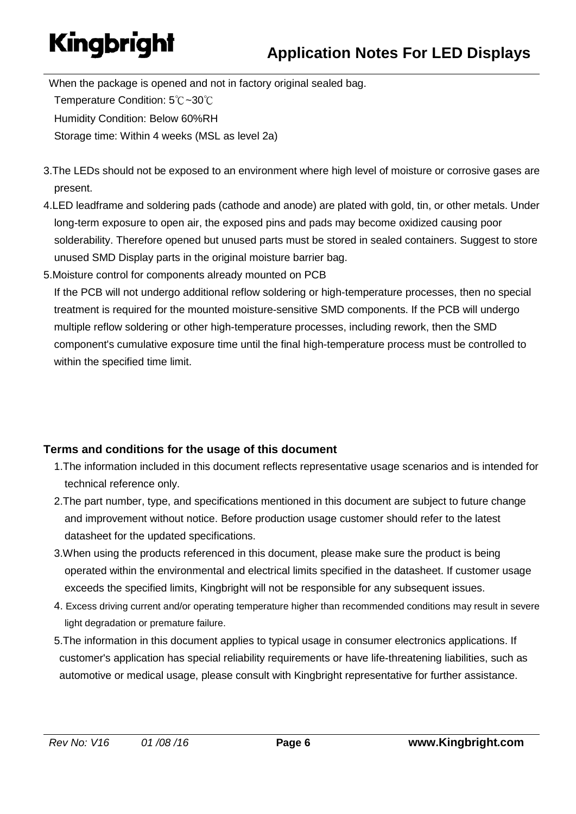When the package is opened and not in factory original sealed bag. Temperature Condition: 5℃~30℃ Humidity Condition: Below 60%RH Storage time: Within 4 weeks (MSL as level 2a)

- 3.The LEDs should not be exposed to an environment where high level of moisture or corrosive gases are present.
- 4.LED leadframe and soldering pads (cathode and anode) are plated with gold, tin, or other metals. Under long-term exposure to open air, the exposed pins and pads may become oxidized causing poor solderability. Therefore opened but unused parts must be stored in sealed containers. Suggest to store unused SMD Display parts in the original moisture barrier bag.
- 5.Moisture control for components already mounted on PCB

If the PCB will not undergo additional reflow soldering or high-temperature processes, then no special treatment is required for the mounted moisture-sensitive SMD components. If the PCB will undergo multiple reflow soldering or other high-temperature processes, including rework, then the SMD component's cumulative exposure time until the final high-temperature process must be controlled to within the specified time limit.

## **Terms and conditions for the usage of this document**

- 1.The information included in this document reflects representative usage scenarios and is intended for technical reference only.
- 2.The part number, type, and specifications mentioned in this document are subject to future change and improvement without notice. Before production usage customer should refer to the latest datasheet for the updated specifications.
- 3.When using the products referenced in this document, please make sure the product is being operated within the environmental and electrical limits specified in the datasheet. If customer usage exceeds the specified limits, Kingbright will not be responsible for any subsequent issues.
- 4. Excess driving current and/or operating temperature higher than recommended conditions may result in severe light degradation or premature failure.
- 5.The information in this document applies to typical usage in consumer electronics applications. If customer's application has special reliability requirements or have life-threatening liabilities, such as automotive or medical usage, please consult with Kingbright representative for further assistance.